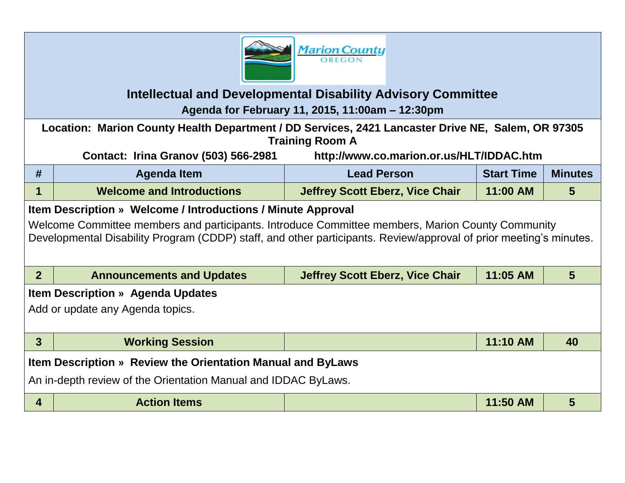

## **Intellectual and Developmental Disability Advisory Committee Agenda for February 11, 2015, 11:00am – 12:30pm**

**Location: Marion County Health Department / DD Services, 2421 Lancaster Drive NE, Salem, OR 97305 Training Room A**

**Contact: Irina Granov (503) 566-2981 http://www.co.marion.or.us/HLT/IDDAC.htm**

| #                                                                                                                                                                                                                      | <b>Agenda Item</b>               | <b>Lead Person</b>                     | <b>Start Time</b> | <b>Minutes</b>  |  |  |  |  |
|------------------------------------------------------------------------------------------------------------------------------------------------------------------------------------------------------------------------|----------------------------------|----------------------------------------|-------------------|-----------------|--|--|--|--|
| 1                                                                                                                                                                                                                      | <b>Welcome and Introductions</b> | <b>Jeffrey Scott Eberz, Vice Chair</b> | 11:00 AM          | $5\overline{)}$ |  |  |  |  |
| Item Description » Welcome / Introductions / Minute Approval                                                                                                                                                           |                                  |                                        |                   |                 |  |  |  |  |
| Welcome Committee members and participants. Introduce Committee members, Marion County Community<br>Developmental Disability Program (CDDP) staff, and other participants. Review/approval of prior meeting's minutes. |                                  |                                        |                   |                 |  |  |  |  |
|                                                                                                                                                                                                                        |                                  |                                        |                   |                 |  |  |  |  |
| 2 <sup>1</sup>                                                                                                                                                                                                         | <b>Announcements and Updates</b> | <b>Jeffrey Scott Eberz, Vice Chair</b> | 11:05 AM          | 5               |  |  |  |  |
| <b>Item Description » Agenda Updates</b>                                                                                                                                                                               |                                  |                                        |                   |                 |  |  |  |  |
| Add or update any Agenda topics.                                                                                                                                                                                       |                                  |                                        |                   |                 |  |  |  |  |
|                                                                                                                                                                                                                        |                                  |                                        |                   |                 |  |  |  |  |
| 3 <sup>5</sup>                                                                                                                                                                                                         | <b>Working Session</b>           |                                        | 11:10 AM          | 40              |  |  |  |  |
| Item Description » Review the Orientation Manual and ByLaws                                                                                                                                                            |                                  |                                        |                   |                 |  |  |  |  |
| An in-depth review of the Orientation Manual and IDDAC ByLaws.                                                                                                                                                         |                                  |                                        |                   |                 |  |  |  |  |
| $\overline{\mathbf{4}}$                                                                                                                                                                                                | <b>Action Items</b>              |                                        | 11:50 AM          | 5               |  |  |  |  |